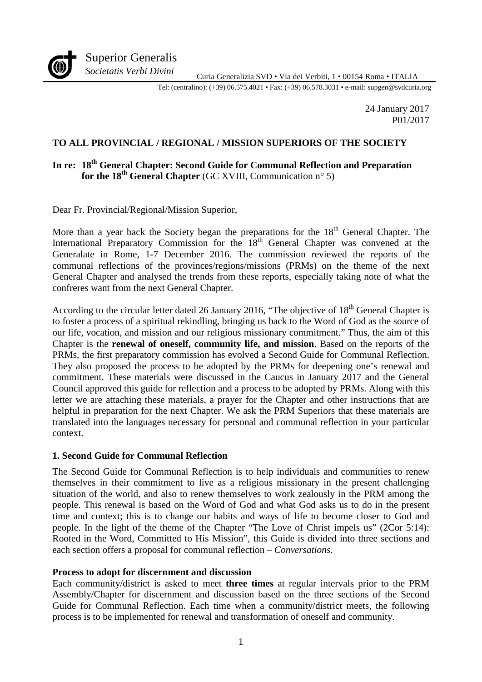

Curia Generalizia SVD • Via dei Verbiti, 1 • 00154 Roma • ITALIA *Societatis Verbi Divini*

Tel: (centralino): (+39) 06.575.4021 • Fax: (+39) 06.578.3031 • e-mail: supgen@svdcuria.org

24 January 2017 P01/2017

#### **TO ALL PROVINCIAL / REGIONAL / MISSION SUPERIORS OF THE SOCIETY**

#### **In re: 18th General Chapter: Second Guide for Communal Reflection and Preparation for the 18 th General Chapter** (GC XVIII, Communication n° 5)

Dear Fr. Provincial/Regional/Mission Superior,

More than a year back the Society began the preparations for the  $18<sup>th</sup>$  General Chapter. The International Preparatory Commission for the 18<sup>th</sup> General Chapter was convened at the Generalate in Rome, 1-7 December 2016. The commission reviewed the reports of the communal reflections of the provinces/regions/missions (PRMs) on the theme of the next General Chapter and analysed the trends from these reports, especially taking note of what the confreres want from the next General Chapter.

According to the circular letter dated 26 January 2016, "The objective of  $18<sup>th</sup>$  General Chapter is to foster a process of a spiritual rekindling, bringing us back to the Word of God as the source of our life, vocation, and mission and our religious missionary commitment." Thus, the aim of this Chapter is the **renewal of oneself, community life, and mission**. Based on the reports of the PRMs, the first preparatory commission has evolved a Second Guide for Communal Reflection. They also proposed the process to be adopted by the PRMs for deepening one's renewal and commitment. These materials were discussed in the Caucus in January 2017 and the General Council approved this guide for reflection and a process to be adopted by PRMs. Along with this letter we are attaching these materials, a prayer for the Chapter and other instructions that are helpful in preparation for the next Chapter. We ask the PRM Superiors that these materials are translated into the languages necessary for personal and communal reflection in your particular context.

#### **1. Second Guide for Communal Reflection**

The Second Guide for Communal Reflection is to help individuals and communities to renew themselves in their commitment to live as a religious missionary in the present challenging situation of the world, and also to renew themselves to work zealously in the PRM among the people. This renewal is based on the Word of God and what God asks us to do in the present time and context; this is to change our habits and ways of life to become closer to God and people. In the light of the theme of the Chapter "The Love of Christ impels us" (2Cor 5:14): Rooted in the Word, Committed to His Mission", this Guide is divided into three sections and each section offers a proposal for communal reflection – *Conversations*.

#### **Process to adopt for discernment and discussion**

Each community/district is asked to meet **three times** at regular intervals prior to the PRM Assembly/Chapter for discernment and discussion based on the three sections of the Second Guide for Communal Reflection. Each time when a community/district meets, the following process is to be implemented for renewal and transformation of oneself and community.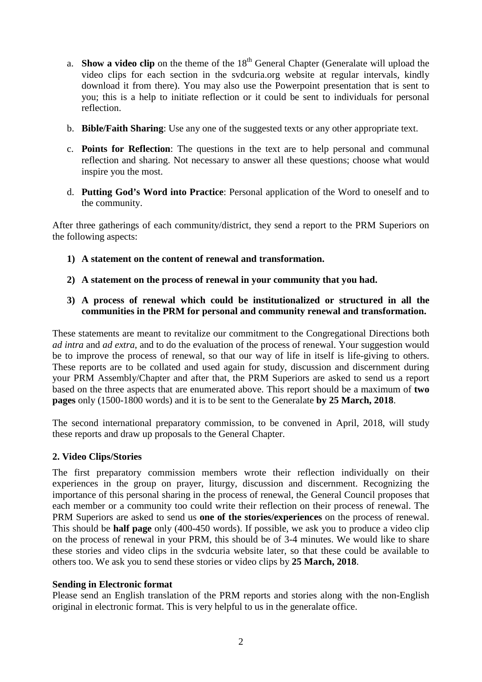- a. **Show a video clip** on the theme of the 18<sup>th</sup> General Chapter (Generalate will upload the video clips for each section in the svdcuria.org website at regular intervals, kindly download it from there). You may also use the Powerpoint presentation that is sent to you; this is a help to initiate reflection or it could be sent to individuals for personal reflection.
- b. **Bible/Faith Sharing**: Use any one of the suggested texts or any other appropriate text.
- c. **Points for Reflection**: The questions in the text are to help personal and communal reflection and sharing. Not necessary to answer all these questions; choose what would inspire you the most.
- d. **Putting God's Word into Practice**: Personal application of the Word to oneself and to the community.

After three gatherings of each community/district, they send a report to the PRM Superiors on the following aspects:

- **1) A statement on the content of renewal and transformation.**
- **2) A statement on the process of renewal in your community that you had.**
- **3) A process of renewal which could be institutionalized or structured in all the communities in the PRM for personal and community renewal and transformation.**

These statements are meant to revitalize our commitment to the Congregational Directions both *ad intra* and *ad extra*, and to do the evaluation of the process of renewal. Your suggestion would be to improve the process of renewal, so that our way of life in itself is life-giving to others. These reports are to be collated and used again for study, discussion and discernment during your PRM Assembly/Chapter and after that, the PRM Superiors are asked to send us a report based on the three aspects that are enumerated above. This report should be a maximum of **two pages** only (1500-1800 words) and it is to be sent to the Generalate **by 25 March, 2018**.

The second international preparatory commission, to be convened in April, 2018, will study these reports and draw up proposals to the General Chapter.

#### **2. Video Clips/Stories**

The first preparatory commission members wrote their reflection individually on their experiences in the group on prayer, liturgy, discussion and discernment. Recognizing the importance of this personal sharing in the process of renewal, the General Council proposes that each member or a community too could write their reflection on their process of renewal. The PRM Superiors are asked to send us **one of the stories/experiences** on the process of renewal. This should be **half page** only (400-450 words). If possible, we ask you to produce a video clip on the process of renewal in your PRM, this should be of 3-4 minutes. We would like to share these stories and video clips in the svdcuria website later, so that these could be available to others too. We ask you to send these stories or video clips by **25 March, 2018**.

#### **Sending in Electronic format**

Please send an English translation of the PRM reports and stories along with the non-English original in electronic format. This is very helpful to us in the generalate office.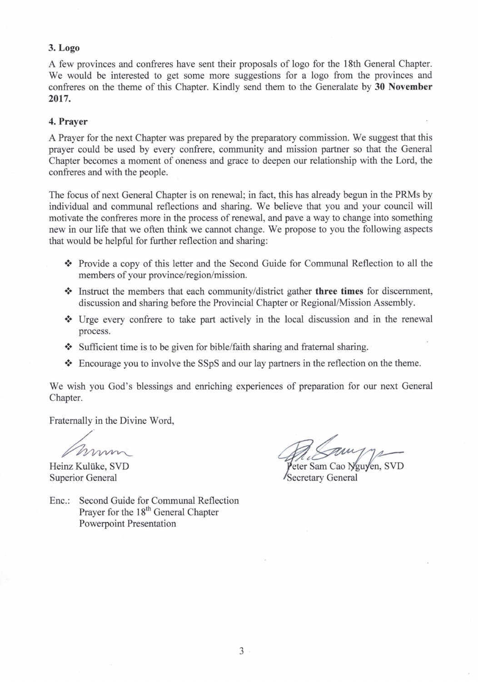#### **3. Logo**

A few provinces and confreres have sent their proposals of logo for the 18th General Chapter. We would be interested to get some more suggestions for a logo from the provinces and confreres on the theme of this Chapter. Kindly send them to the Generalate by **30 November 2017.** 

#### **4. Prayer**

A Prayer for the next Chapter was prepared by the preparatory commission. We suggest that this prayer could be used by every confrere, community and mission partner so that the General Chapter becomes a moment of oneness and grace to deepen our relationship with the Lord, the confreres and with the people.

The focus of next General Chapter is on renewal; in fact, this has already begun in the PRMs by individual and communal reflections and sharing. We believe that you and your council will motivate the confreres more in the process of renewal, and pave a way to change into something new in our life that we often think we cannot change. We propose to you the following aspects that would be helpful for further reflection and sharing:

- **.:.** Provide a copy of this letter and the Second Guide for Communal Reflection to all the members of your province/region/mission.
- **:.** Instruct the members that each community/district gather **three times** for discernment, discussion and sharing before the Provincial Chapter or Regional/Mission Assembly .
- Urge every confrere to take part actively in the local discussion and in the renewal process.
- Sufficient time is to be given for bible/faith sharing and fraternal sharing.
- Encourage you to involve the SSpS and our lay partners in the reflection on the theme.

We wish you God's blessings and enriching experiences of preparation for our next General Chapter.

Fraternally in the Divine Word,

Heinz Kuliike, SVD Superior General

eter Sam Cao Nguyen, SVD Secretary General

Enc.: Second Guide for Communal Reflection Prayer for the 18<sup>th</sup> General Chapter Powerpoint Presentation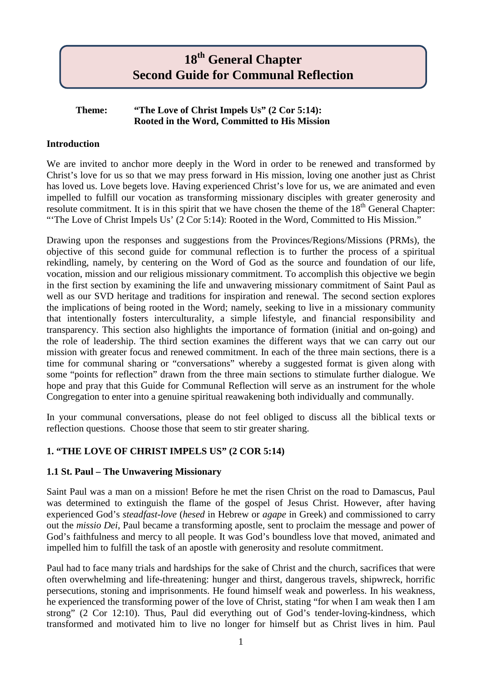# **18th General Chapter Second Guide for Communal Reflection**

#### **Theme: "The Love of Christ Impels Us" (2 Cor 5:14): Rooted in the Word, Committed to His Mission**

# **Introduction**

We are invited to anchor more deeply in the Word in order to be renewed and transformed by Christ's love for us so that we may press forward in His mission, loving one another just as Christ has loved us. Love begets love. Having experienced Christ's love for us, we are animated and even impelled to fulfill our vocation as transforming missionary disciples with greater generosity and resolute commitment. It is in this spirit that we have chosen the theme of the 18<sup>th</sup> General Chapter: "'The Love of Christ Impels Us' (2 Cor 5:14): Rooted in the Word, Committed to His Mission."

Drawing upon the responses and suggestions from the Provinces/Regions/Missions (PRMs), the objective of this second guide for communal reflection is to further the process of a spiritual rekindling, namely, by centering on the Word of God as the source and foundation of our life, vocation, mission and our religious missionary commitment. To accomplish this objective we begin in the first section by examining the life and unwavering missionary commitment of Saint Paul as well as our SVD heritage and traditions for inspiration and renewal. The second section explores the implications of being rooted in the Word; namely, seeking to live in a missionary community that intentionally fosters interculturality, a simple lifestyle, and financial responsibility and transparency. This section also highlights the importance of formation (initial and on-going) and the role of leadership. The third section examines the different ways that we can carry out our mission with greater focus and renewed commitment. In each of the three main sections, there is a time for communal sharing or "conversations" whereby a suggested format is given along with some "points for reflection" drawn from the three main sections to stimulate further dialogue. We hope and pray that this Guide for Communal Reflection will serve as an instrument for the whole Congregation to enter into a genuine spiritual reawakening both individually and communally.

In your communal conversations, please do not feel obliged to discuss all the biblical texts or reflection questions. Choose those that seem to stir greater sharing.

# **1. "THE LOVE OF CHRIST IMPELS US" (2 COR 5:14)**

#### **1.1 St. Paul – The Unwavering Missionary**

Saint Paul was a man on a mission! Before he met the risen Christ on the road to Damascus, Paul was determined to extinguish the flame of the gospel of Jesus Christ. However, after having experienced God's *steadfast-love* (*hesed* in Hebrew or *agape* in Greek) and commissioned to carry out the *missio Dei*, Paul became a transforming apostle, sent to proclaim the message and power of God's faithfulness and mercy to all people. It was God's boundless love that moved, animated and impelled him to fulfill the task of an apostle with generosity and resolute commitment.

Paul had to face many trials and hardships for the sake of Christ and the church, sacrifices that were often overwhelming and life-threatening: hunger and thirst, dangerous travels, shipwreck, horrific persecutions, stoning and imprisonments. He found himself weak and powerless. In his weakness, he experienced the transforming power of the love of Christ, stating "for when I am weak then I am strong" (2 Cor 12:10). Thus, Paul did everything out of God's tender-loving-kindness, which transformed and motivated him to live no longer for himself but as Christ lives in him. Paul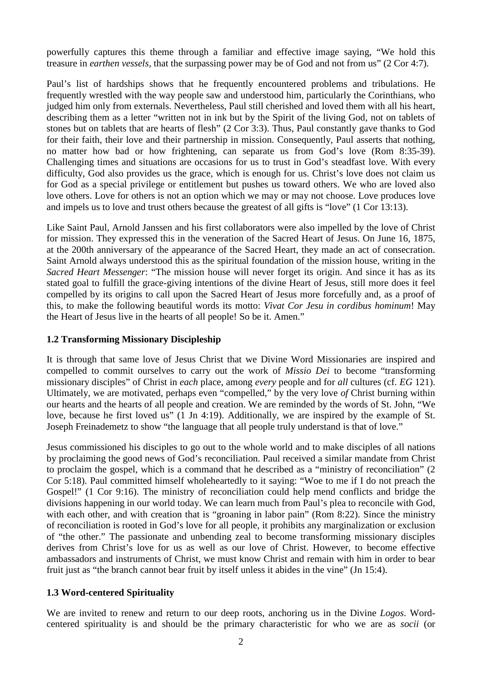powerfully captures this theme through a familiar and effective image saying, "We hold this treasure in *earthen vessels*, that the surpassing power may be of God and not from us" (2 Cor 4:7).

Paul's list of hardships shows that he frequently encountered problems and tribulations. He frequently wrestled with the way people saw and understood him, particularly the Corinthians, who judged him only from externals. Nevertheless, Paul still cherished and loved them with all his heart, describing them as a letter "written not in ink but by the Spirit of the living God, not on tablets of stones but on tablets that are hearts of flesh" (2 Cor 3:3). Thus, Paul constantly gave thanks to God for their faith, their love and their partnership in mission. Consequently, Paul asserts that nothing, no matter how bad or how frightening, can separate us from God's love (Rom 8:35-39). Challenging times and situations are occasions for us to trust in God's steadfast love. With every difficulty, God also provides us the grace, which is enough for us. Christ's love does not claim us for God as a special privilege or entitlement but pushes us toward others. We who are loved also love others. Love for others is not an option which we may or may not choose. Love produces love and impels us to love and trust others because the greatest of all gifts is "love" (1 Cor 13:13).

Like Saint Paul, Arnold Janssen and his first collaborators were also impelled by the love of Christ for mission. They expressed this in the veneration of the Sacred Heart of Jesus. On June 16, 1875, at the 200th anniversary of the appearance of the Sacred Heart, they made an act of consecration. Saint Arnold always understood this as the spiritual foundation of the mission house, writing in the *Sacred Heart Messenger*: "The mission house will never forget its origin. And since it has as its stated goal to fulfill the grace-giving intentions of the divine Heart of Jesus, still more does it feel compelled by its origins to call upon the Sacred Heart of Jesus more forcefully and, as a proof of this, to make the following beautiful words its motto: *Vivat Cor Jesu in cordibus hominum*! May the Heart of Jesus live in the hearts of all people! So be it. Amen."

#### **1.2 Transforming Missionary Discipleship**

It is through that same love of Jesus Christ that we Divine Word Missionaries are inspired and compelled to commit ourselves to carry out the work of *Missio Dei* to become "transforming missionary disciples" of Christ in *each* place, among *every* people and for *all* cultures (cf. *EG* 121). Ultimately, we are motivated, perhaps even "compelled," by the very love *of* Christ burning within our hearts and the hearts of all people and creation. We are reminded by the words of St. John, "We love, because he first loved us" (1 Jn 4:19). Additionally, we are inspired by the example of St. Joseph Freinademetz to show "the language that all people truly understand is that of love."

Jesus commissioned his disciples to go out to the whole world and to make disciples of all nations by proclaiming the good news of God's reconciliation. Paul received a similar mandate from Christ to proclaim the gospel, which is a command that he described as a "ministry of reconciliation" (2 Cor 5:18). Paul committed himself wholeheartedly to it saying: "Woe to me if I do not preach the Gospel!" (1 Cor 9:16). The ministry of reconciliation could help mend conflicts and bridge the divisions happening in our world today. We can learn much from Paul's plea to reconcile with God, with each other, and with creation that is "groaning in labor pain" (Rom 8:22). Since the ministry of reconciliation is rooted in God's love for all people, it prohibits any marginalization or exclusion of "the other." The passionate and unbending zeal to become transforming missionary disciples derives from Christ's love for us as well as our love of Christ. However, to become effective ambassadors and instruments of Christ, we must know Christ and remain with him in order to bear fruit just as "the branch cannot bear fruit by itself unless it abides in the vine" (Jn 15:4).

#### **1.3 Word-centered Spirituality**

We are invited to renew and return to our deep roots, anchoring us in the Divine *Logos*. Wordcentered spirituality is and should be the primary characteristic for who we are as *socii* (or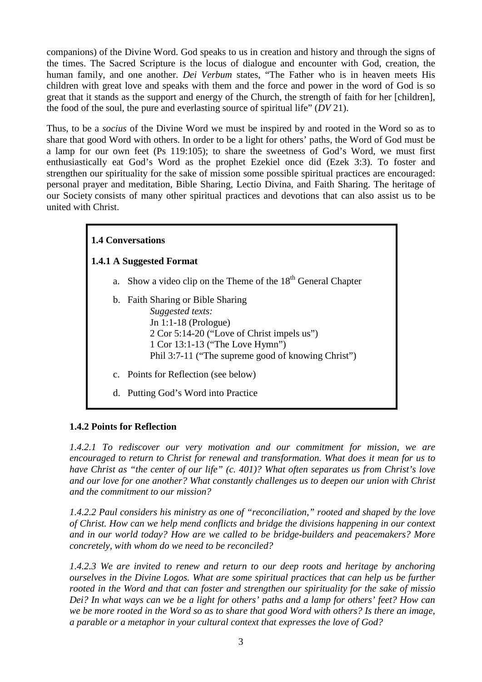companions) of the Divine Word. God speaks to us in creation and history and through the signs of the times. The Sacred Scripture is the locus of dialogue and encounter with God, creation, the human family, and one another. *Dei Verbum* states, "The Father who is in heaven meets His children with great love and speaks with them and the force and power in the word of God is so great that it stands as the support and energy of the Church, the strength of faith for her [children], the food of the soul, the pure and everlasting source of spiritual life" (*DV* 21).

Thus, to be a *socius* of the Divine Word we must be inspired by and rooted in the Word so as to share that good Word with others. In order to be a light for others' paths, the Word of God must be a lamp for our own feet (Ps 119:105); to share the sweetness of God's Word, we must first enthusiastically eat God's Word as the prophet Ezekiel once did (Ezek 3:3). To foster and strengthen our spirituality for the sake of mission some possible spiritual practices are encouraged: personal prayer and meditation, Bible Sharing, Lectio Divina, and Faith Sharing. The heritage of our Society consists of many other spiritual practices and devotions that can also assist us to be united with Christ.

# **1.4 Conversations**

#### **1.4.1 A Suggested Format**

- a. Show a video clip on the Theme of the  $18<sup>th</sup>$  General Chapter
- b. Faith Sharing or Bible Sharing *Suggested texts:* Jn 1:1-18 (Prologue) 2 Cor 5:14-20 ("Love of Christ impels us") 1 Cor 13:1-13 ("The Love Hymn") Phil 3:7-11 ("The supreme good of knowing Christ")
- c. Points for Reflection (see below)
- d. Putting God's Word into Practice

#### **1.4.2 Points for Reflection**

*1.4.2.1 To rediscover our very motivation and our commitment for mission, we are encouraged to return to Christ for renewal and transformation. What does it mean for us to have Christ as "the center of our life" (c. 401)? What often separates us from Christ's love and our love for one another? What constantly challenges us to deepen our union with Christ and the commitment to our mission?*

*1.4.2.2 Paul considers his ministry as one of "reconciliation," rooted and shaped by the love of Christ. How can we help mend conflicts and bridge the divisions happening in our context and in our world today? How are we called to be bridge-builders and peacemakers? More concretely, with whom do we need to be reconciled?*

*1.4.2.3 We are invited to renew and return to our deep roots and heritage by anchoring ourselves in the Divine Logos. What are some spiritual practices that can help us be further rooted in the Word and that can foster and strengthen our spirituality for the sake of missio Dei? In what ways can we be a light for others' paths and a lamp for others' feet? How can we be more rooted in the Word so as to share that good Word with others? Is there an image, a parable or a metaphor in your cultural context that expresses the love of God?*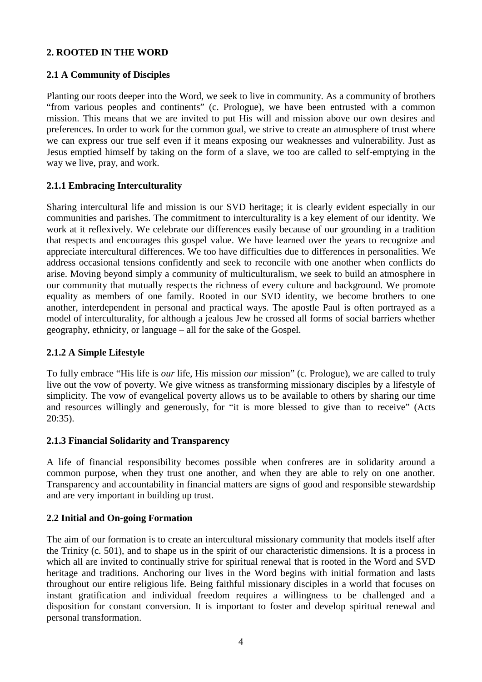# **2. ROOTED IN THE WORD**

#### **2.1 A Community of Disciples**

Planting our roots deeper into the Word, we seek to live in community. As a community of brothers "from various peoples and continents" (c. Prologue), we have been entrusted with a common mission. This means that we are invited to put His will and mission above our own desires and preferences. In order to work for the common goal, we strive to create an atmosphere of trust where we can express our true self even if it means exposing our weaknesses and vulnerability. Just as Jesus emptied himself by taking on the form of a slave, we too are called to self-emptying in the way we live, pray, and work.

# **2.1.1 Embracing Interculturality**

Sharing intercultural life and mission is our SVD heritage; it is clearly evident especially in our communities and parishes. The commitment to interculturality is a key element of our identity. We work at it reflexively. We celebrate our differences easily because of our grounding in a tradition that respects and encourages this gospel value. We have learned over the years to recognize and appreciate intercultural differences. We too have difficulties due to differences in personalities. We address occasional tensions confidently and seek to reconcile with one another when conflicts do arise. Moving beyond simply a community of multiculturalism, we seek to build an atmosphere in our community that mutually respects the richness of every culture and background. We promote equality as members of one family. Rooted in our SVD identity, we become brothers to one another, interdependent in personal and practical ways. The apostle Paul is often portrayed as a model of interculturality, for although a jealous Jew he crossed all forms of social barriers whether geography, ethnicity, or language – all for the sake of the Gospel.

#### **2.1.2 A Simple Lifestyle**

To fully embrace "His life is *our* life, His mission *our* mission" (c. Prologue), we are called to truly live out the vow of poverty. We give witness as transforming missionary disciples by a lifestyle of simplicity. The vow of evangelical poverty allows us to be available to others by sharing our time and resources willingly and generously, for "it is more blessed to give than to receive" (Acts 20:35).

#### **2.1.3 Financial Solidarity and Transparency**

A life of financial responsibility becomes possible when confreres are in solidarity around a common purpose, when they trust one another, and when they are able to rely on one another. Transparency and accountability in financial matters are signs of good and responsible stewardship and are very important in building up trust.

#### **2.2 Initial and On-going Formation**

The aim of our formation is to create an intercultural missionary community that models itself after the Trinity (c. 501), and to shape us in the spirit of our characteristic dimensions. It is a process in which all are invited to continually strive for spiritual renewal that is rooted in the Word and SVD heritage and traditions. Anchoring our lives in the Word begins with initial formation and lasts throughout our entire religious life. Being faithful missionary disciples in a world that focuses on instant gratification and individual freedom requires a willingness to be challenged and a disposition for constant conversion. It is important to foster and develop spiritual renewal and personal transformation.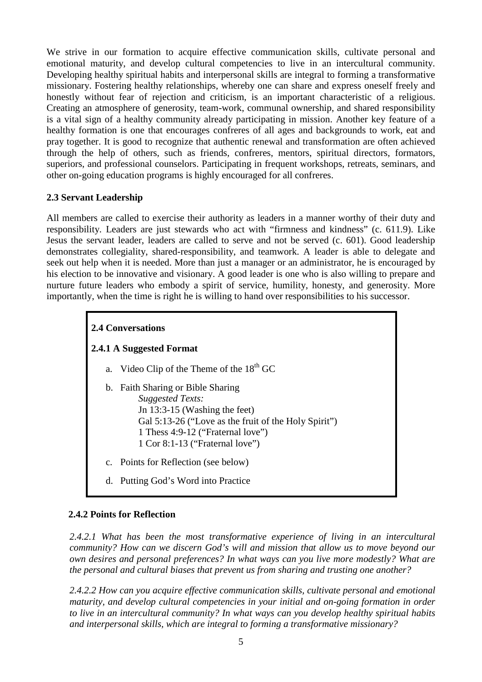We strive in our formation to acquire effective communication skills, cultivate personal and emotional maturity, and develop cultural competencies to live in an intercultural community. Developing healthy spiritual habits and interpersonal skills are integral to forming a transformative missionary. Fostering healthy relationships, whereby one can share and express oneself freely and honestly without fear of rejection and criticism, is an important characteristic of a religious. Creating an atmosphere of generosity, team-work, communal ownership, and shared responsibility is a vital sign of a healthy community already participating in mission. Another key feature of a healthy formation is one that encourages confreres of all ages and backgrounds to work, eat and pray together. It is good to recognize that authentic renewal and transformation are often achieved through the help of others, such as friends, confreres, mentors, spiritual directors, formators, superiors, and professional counselors. Participating in frequent workshops, retreats, seminars, and other on-going education programs is highly encouraged for all confreres.

#### **2.3 Servant Leadership**

All members are called to exercise their authority as leaders in a manner worthy of their duty and responsibility. Leaders are just stewards who act with "firmness and kindness" (c. 611.9). Like Jesus the servant leader, leaders are called to serve and not be served (c. 601). Good leadership demonstrates collegiality, shared-responsibility, and teamwork. A leader is able to delegate and seek out help when it is needed. More than just a manager or an administrator, he is encouraged by his election to be innovative and visionary. A good leader is one who is also willing to prepare and nurture future leaders who embody a spirit of service, humility, honesty, and generosity. More importantly, when the time is right he is willing to hand over responsibilities to his successor.

# **2.4 Conversations**

# **2.4.1 A Suggested Format**

- a. Video Clip of the Theme of the  $18<sup>th</sup>$  GC
- b. Faith Sharing or Bible Sharing *Suggested Texts:* Jn 13:3-15 (Washing the feet) Gal 5:13-26 ("Love as the fruit of the Holy Spirit") 1 Thess 4:9-12 ("Fraternal love") 1 Cor 8:1-13 ("Fraternal love")
- c. Points for Reflection (see below)
- d. Putting God's Word into Practice

#### **2.4.2 Points for Reflection**

*2.4.2.1 What has been the most transformative experience of living in an intercultural community? How can we discern God's will and mission that allow us to move beyond our own desires and personal preferences? In what ways can you live more modestly? What are the personal and cultural biases that prevent us from sharing and trusting one another?* 

*2.4.2.2 How can you acquire effective communication skills, cultivate personal and emotional maturity, and develop cultural competencies in your initial and on-going formation in order to live in an intercultural community? In what ways can you develop healthy spiritual habits and interpersonal skills, which are integral to forming a transformative missionary?*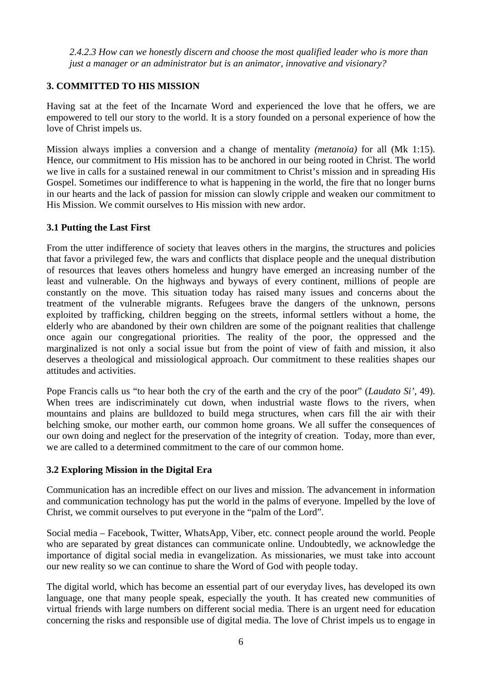*2.4.2.3 How can we honestly discern and choose the most qualified leader who is more than just a manager or an administrator but is an animator, innovative and visionary?* 

# **3. COMMITTED TO HIS MISSION**

Having sat at the feet of the Incarnate Word and experienced the love that he offers, we are empowered to tell our story to the world. It is a story founded on a personal experience of how the love of Christ impels us.

Mission always implies a conversion and a change of mentality *(metanoia)* for all (Mk 1:15). Hence, our commitment to His mission has to be anchored in our being rooted in Christ. The world we live in calls for a sustained renewal in our commitment to Christ's mission and in spreading His Gospel. Sometimes our indifference to what is happening in the world, the fire that no longer burns in our hearts and the lack of passion for mission can slowly cripple and weaken our commitment to His Mission. We commit ourselves to His mission with new ardor.

#### **3.1 Putting the Last First**

From the utter indifference of society that leaves others in the margins, the structures and policies that favor a privileged few, the wars and conflicts that displace people and the unequal distribution of resources that leaves others homeless and hungry have emerged an increasing number of the least and vulnerable. On the highways and byways of every continent, millions of people are constantly on the move. This situation today has raised many issues and concerns about the treatment of the vulnerable migrants. Refugees brave the dangers of the unknown, persons exploited by trafficking, children begging on the streets, informal settlers without a home, the elderly who are abandoned by their own children are some of the poignant realities that challenge once again our congregational priorities. The reality of the poor, the oppressed and the marginalized is not only a social issue but from the point of view of faith and mission, it also deserves a theological and missiological approach. Our commitment to these realities shapes our attitudes and activities.

Pope Francis calls us "to hear both the cry of the earth and the cry of the poor" (*Laudato Si'*, 49). When trees are indiscriminately cut down, when industrial waste flows to the rivers, when mountains and plains are bulldozed to build mega structures, when cars fill the air with their belching smoke, our mother earth, our common home groans. We all suffer the consequences of our own doing and neglect for the preservation of the integrity of creation. Today, more than ever, we are called to a determined commitment to the care of our common home.

#### **3.2 Exploring Mission in the Digital Era**

Communication has an incredible effect on our lives and mission. The advancement in information and communication technology has put the world in the palms of everyone. Impelled by the love of Christ, we commit ourselves to put everyone in the "palm of the Lord".

Social media – Facebook, Twitter, WhatsApp, Viber, etc. connect people around the world. People who are separated by great distances can communicate online. Undoubtedly, we acknowledge the importance of digital social media in evangelization. As missionaries, we must take into account our new reality so we can continue to share the Word of God with people today.

The digital world, which has become an essential part of our everyday lives, has developed its own language, one that many people speak, especially the youth. It has created new communities of virtual friends with large numbers on different social media. There is an urgent need for education concerning the risks and responsible use of digital media. The love of Christ impels us to engage in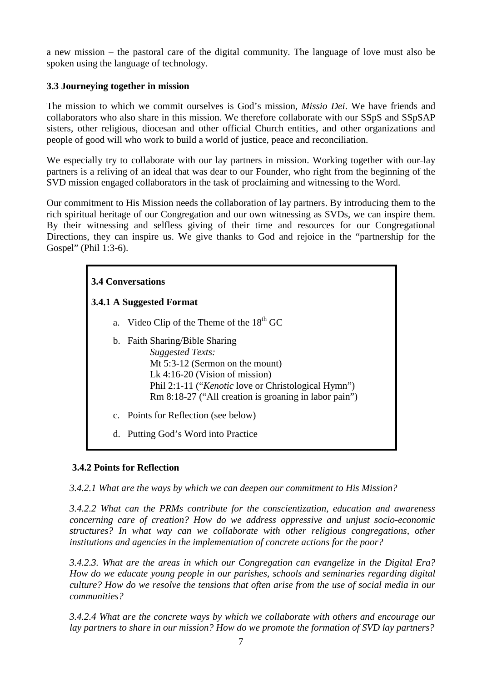a new mission – the pastoral care of the digital community. The language of love must also be spoken using the language of technology.

#### **3.3 Journeying together in mission**

The mission to which we commit ourselves is God's mission, *Missio Dei*. We have friends and collaborators who also share in this mission. We therefore collaborate with our SSpS and SSpSAP sisters, other religious, diocesan and other official Church entities, and other organizations and people of good will who work to build a world of justice, peace and reconciliation.

We especially try to collaborate with our lay partners in mission. Working together with our-lay partners is a reliving of an ideal that was dear to our Founder, who right from the beginning of the SVD mission engaged collaborators in the task of proclaiming and witnessing to the Word.

Our commitment to His Mission needs the collaboration of lay partners. By introducing them to the rich spiritual heritage of our Congregation and our own witnessing as SVDs, we can inspire them. By their witnessing and selfless giving of their time and resources for our Congregational Directions, they can inspire us. We give thanks to God and rejoice in the "partnership for the Gospel" (Phil 1:3-6).

# **3.4 Conversations**

# **3.4.1 A Suggested Format**

- a. Video Clip of the Theme of the  $18<sup>th</sup>$  GC
- b. Faith Sharing/Bible Sharing *Suggested Texts:* Mt 5:3-12 (Sermon on the mount) Lk 4:16-20 (Vision of mission) Phil 2:1-11 ("*Kenotic* love or Christological Hymn") Rm 8:18-27 ("All creation is groaning in labor pain")
- c. Points for Reflection (see below)
- d. Putting God's Word into Practice

# **3.4.2 Points for Reflection**

*3.4.2.1 What are the ways by which we can deepen our commitment to His Mission?* 

*3.4.2.2 What can the PRMs contribute for the conscientization, education and awareness concerning care of creation? How do we address oppressive and unjust socio-economic structures? In what way can we collaborate with other religious congregations, other institutions and agencies in the implementation of concrete actions for the poor?* 

*3.4.2.3. What are the areas in which our Congregation can evangelize in the Digital Era? How do we educate young people in our parishes, schools and seminaries regarding digital culture? How do we resolve the tensions that often arise from the use of social media in our communities?*

*3.4.2.4 What are the concrete ways by which we collaborate with others and encourage our lay partners to share in our mission? How do we promote the formation of SVD lay partners?*